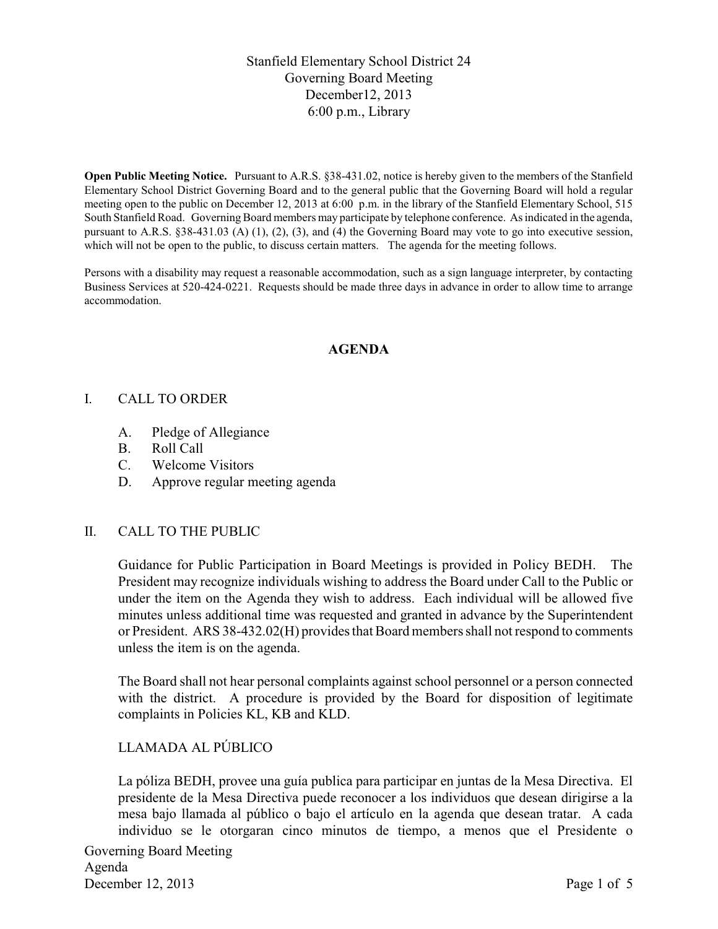## Stanfield Elementary School District 24 Governing Board Meeting December12, 2013 6:00 p.m., Library

**Open Public Meeting Notice.** Pursuant to A.R.S. §38-431.02, notice is hereby given to the members of the Stanfield Elementary School District Governing Board and to the general public that the Governing Board will hold a regular meeting open to the public on December 12, 2013 at 6:00 p.m. in the library of the Stanfield Elementary School, 515 South Stanfield Road. Governing Board members may participate by telephone conference. As indicated in the agenda, pursuant to A.R.S. §38-431.03 (A) (1), (2), (3), and (4) the Governing Board may vote to go into executive session, which will not be open to the public, to discuss certain matters. The agenda for the meeting follows.

Persons with a disability may request a reasonable accommodation, such as a sign language interpreter, by contacting Business Services at 520-424-0221. Requests should be made three days in advance in order to allow time to arrange accommodation.

## **AGENDA**

### I. CALL TO ORDER

- A. Pledge of Allegiance
- B. Roll Call
- C. Welcome Visitors
- D. Approve regular meeting agenda

#### II. CALL TO THE PUBLIC

Guidance for Public Participation in Board Meetings is provided in Policy BEDH. The President may recognize individuals wishing to address the Board under Call to the Public or under the item on the Agenda they wish to address. Each individual will be allowed five minutes unless additional time was requested and granted in advance by the Superintendent or President. ARS 38-432.02(H) provides that Board members shall not respond to comments unless the item is on the agenda.

The Board shall not hear personal complaints against school personnel or a person connected with the district. A procedure is provided by the Board for disposition of legitimate complaints in Policies KL, KB and KLD.

### LLAMADA AL PÚBLICO

La póliza BEDH, provee una guía publica para participar en juntas de la Mesa Directiva. El presidente de la Mesa Directiva puede reconocer a los individuos que desean dirigirse a la mesa bajo llamada al público o bajo el artículo en la agenda que desean tratar. A cada individuo se le otorgaran cinco minutos de tiempo, a menos que el Presidente o

Governing Board Meeting Agenda December 12, 2013 Page 1 of 5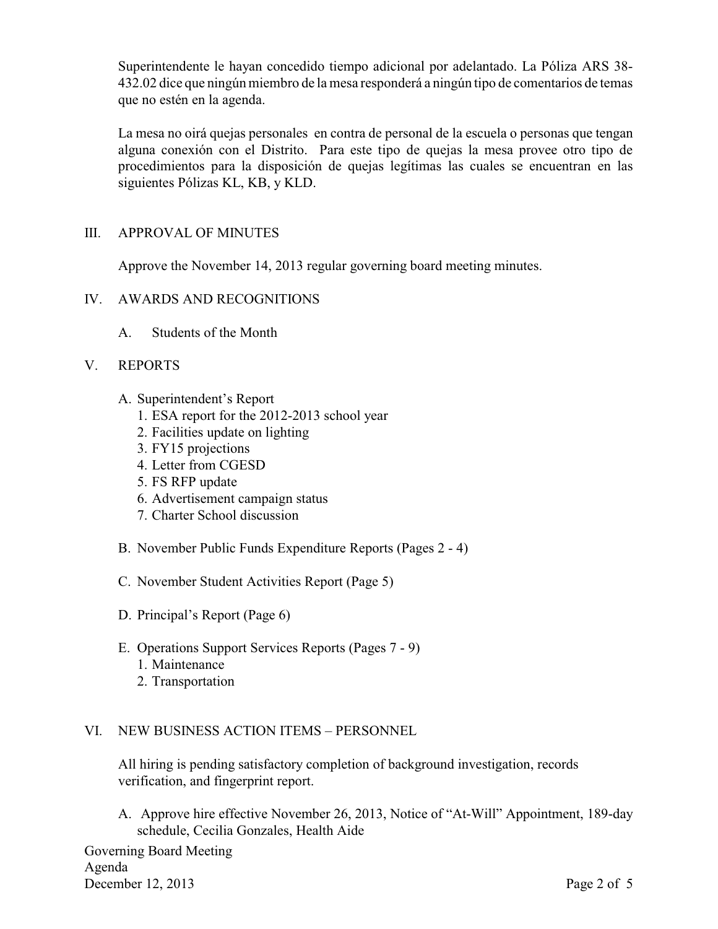Superintendente le hayan concedido tiempo adicional por adelantado. La Póliza ARS 38- 432.02 dice que ningún miembro de la mesa responderá a ningún tipo de comentarios de temas que no estén en la agenda.

La mesa no oirá quejas personales en contra de personal de la escuela o personas que tengan alguna conexión con el Distrito. Para este tipo de quejas la mesa provee otro tipo de procedimientos para la disposición de quejas legítimas las cuales se encuentran en las siguientes Pólizas KL, KB, y KLD.

### III. APPROVAL OF MINUTES

Approve the November 14, 2013 regular governing board meeting minutes.

### IV. AWARDS AND RECOGNITIONS

A. Students of the Month

### V. REPORTS

- A. Superintendent's Report
	- 1. ESA report for the 2012-2013 school year
	- 2. Facilities update on lighting
	- 3. FY15 projections
	- 4. Letter from CGESD
	- 5. FS RFP update
	- 6. Advertisement campaign status
	- 7. Charter School discussion
- B. November Public Funds Expenditure Reports (Pages 2 4)
- C. November Student Activities Report (Page 5)
- D. Principal's Report (Page 6)
- E. Operations Support Services Reports (Pages 7 9)
	- 1. Maintenance
	- 2. Transportation

#### VI. NEW BUSINESS ACTION ITEMS – PERSONNEL

All hiring is pending satisfactory completion of background investigation, records verification, and fingerprint report.

A. Approve hire effective November 26, 2013, Notice of "At-Will" Appointment, 189-day schedule, Cecilia Gonzales, Health Aide

Governing Board Meeting Agenda December 12, 2013 Page 2 of 5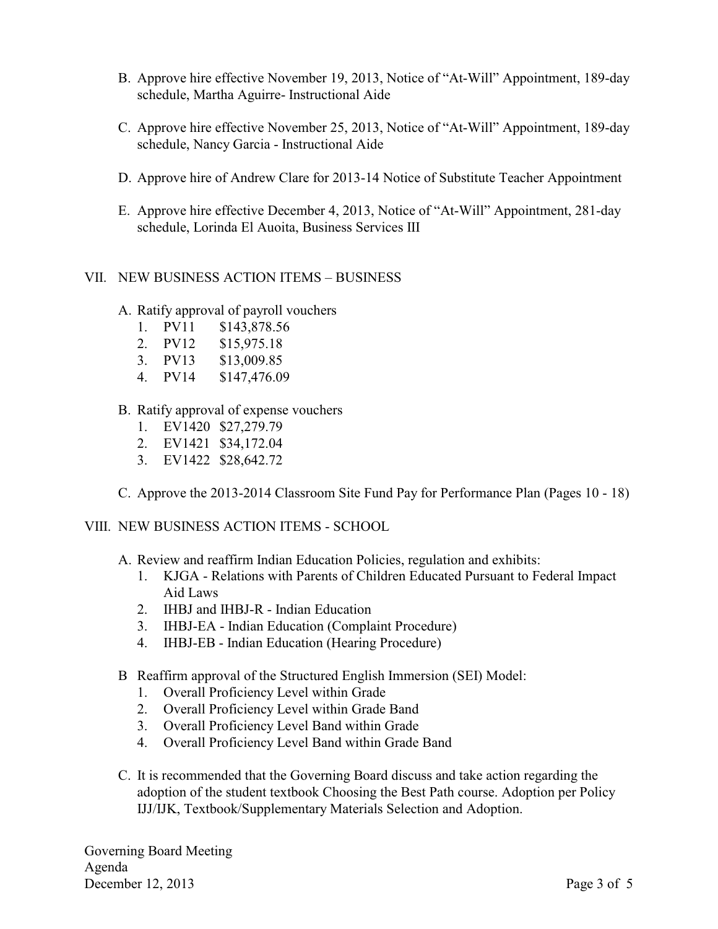- B. Approve hire effective November 19, 2013, Notice of "At-Will" Appointment, 189-day schedule, Martha Aguirre- Instructional Aide
- C. Approve hire effective November 25, 2013, Notice of "At-Will" Appointment, 189-day schedule, Nancy Garcia - Instructional Aide
- D. Approve hire of Andrew Clare for 2013-14 Notice of Substitute Teacher Appointment
- E. Approve hire effective December 4, 2013, Notice of "At-Will" Appointment, 281-day schedule, Lorinda El Auoita, Business Services III

#### VII. NEW BUSINESS ACTION ITEMS – BUSINESS

- A. Ratify approval of payroll vouchers
	- 1. PV11 \$143,878.56
	- 2. PV12 \$15,975.18
	- 3. PV13 \$13,009.85
	- 4. PV14 \$147,476.09
- B. Ratify approval of expense vouchers
	- 1. EV1420 \$27,279.79
	- 2. EV1421 \$34,172.04
	- 3. EV1422 \$28,642.72
- C. Approve the 2013-2014 Classroom Site Fund Pay for Performance Plan (Pages 10 18)

VIII. NEW BUSINESS ACTION ITEMS - SCHOOL

- A. Review and reaffirm Indian Education Policies, regulation and exhibits:
	- 1. KJGA Relations with Parents of Children Educated Pursuant to Federal Impact Aid Laws
	- 2. IHBJ and IHBJ-R Indian Education
	- 3. IHBJ-EA Indian Education (Complaint Procedure)
	- 4. IHBJ-EB Indian Education (Hearing Procedure)
- B Reaffirm approval of the Structured English Immersion (SEI) Model:
	- 1. Overall Proficiency Level within Grade
	- 2. Overall Proficiency Level within Grade Band
	- 3. Overall Proficiency Level Band within Grade
	- 4. Overall Proficiency Level Band within Grade Band
- C. It is recommended that the Governing Board discuss and take action regarding the adoption of the student textbook Choosing the Best Path course. Adoption per Policy IJJ/IJK, Textbook/Supplementary Materials Selection and Adoption.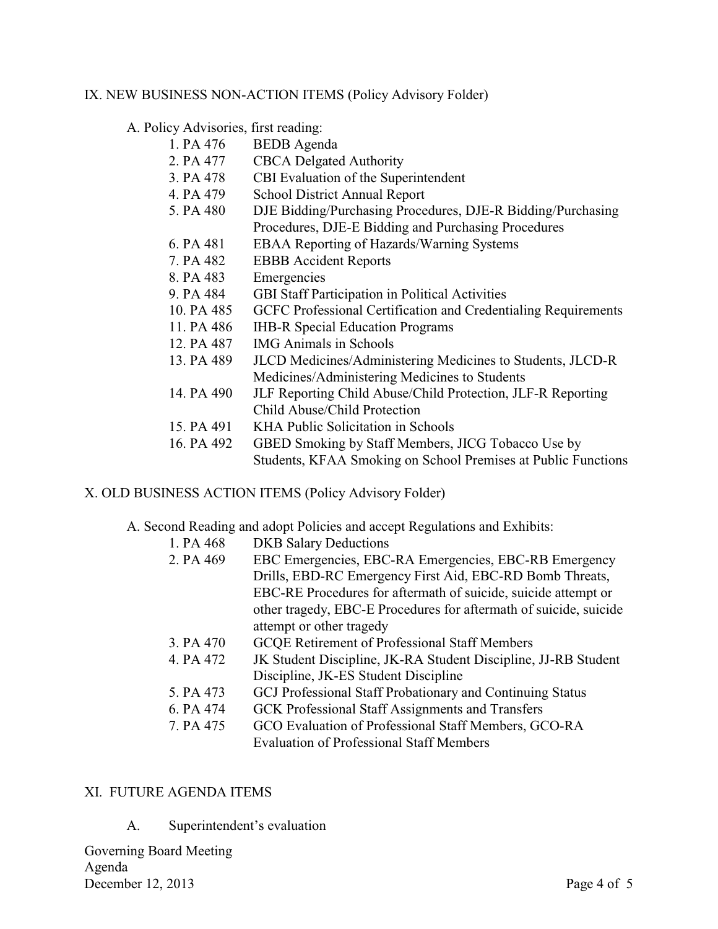## IX. NEW BUSINESS NON-ACTION ITEMS (Policy Advisory Folder)

A. Policy Advisories, first reading:

| 1. PA 476  | <b>BEDB</b> Agenda                                             |
|------------|----------------------------------------------------------------|
| 2. PA 477  | <b>CBCA</b> Delgated Authority                                 |
| 3. PA 478  | CBI Evaluation of the Superintendent                           |
| 4. PA 479  | <b>School District Annual Report</b>                           |
| 5. PA 480  | DJE Bidding/Purchasing Procedures, DJE-R Bidding/Purchasing    |
|            | Procedures, DJE-E Bidding and Purchasing Procedures            |
| 6. PA 481  | <b>EBAA Reporting of Hazards/Warning Systems</b>               |
| 7. PA 482  | <b>EBBB</b> Accident Reports                                   |
| 8. PA 483  | Emergencies                                                    |
| 9. PA 484  | <b>GBI Staff Participation in Political Activities</b>         |
| 10. PA 485 | GCFC Professional Certification and Credentialing Requirements |
| 11. PA 486 | <b>IHB-R</b> Special Education Programs                        |
| 12. PA 487 | <b>IMG</b> Animals in Schools                                  |
| 13. PA 489 | JLCD Medicines/Administering Medicines to Students, JLCD-R     |
|            | Medicines/Administering Medicines to Students                  |
| 14. PA 490 | JLF Reporting Child Abuse/Child Protection, JLF-R Reporting    |
|            | Child Abuse/Child Protection                                   |
| 15. PA 491 | KHA Public Solicitation in Schools                             |
| 16. PA 492 | GBED Smoking by Staff Members, JICG Tobacco Use by             |
|            | Students, KFAA Smoking on School Premises at Public Functions  |

## X. OLD BUSINESS ACTION ITEMS (Policy Advisory Folder)

## A. Second Reading and adopt Policies and accept Regulations and Exhibits:

| 1. PA 468 | <b>DKB</b> Salary Deductions                                      |
|-----------|-------------------------------------------------------------------|
| 2. PA 469 | EBC Emergencies, EBC-RA Emergencies, EBC-RB Emergency             |
|           | Drills, EBD-RC Emergency First Aid, EBC-RD Bomb Threats,          |
|           | EBC-RE Procedures for aftermath of suicide, suicide attempt or    |
|           | other tragedy, EBC-E Procedures for aftermath of suicide, suicide |
|           | attempt or other tragedy                                          |
| 3. PA 470 | <b>GCQE Retirement of Professional Staff Members</b>              |
| 4. PA 472 | JK Student Discipline, JK-RA Student Discipline, JJ-RB Student    |
|           | Discipline, JK-ES Student Discipline                              |
| 5. PA 473 | GCJ Professional Staff Probationary and Continuing Status         |
| 6. PA 474 | GCK Professional Staff Assignments and Transfers                  |
| 7. PA 475 | GCO Evaluation of Professional Staff Members, GCO-RA              |
|           | <b>Evaluation of Professional Staff Members</b>                   |

#### XI. FUTURE AGENDA ITEMS

A. Superintendent's evaluation